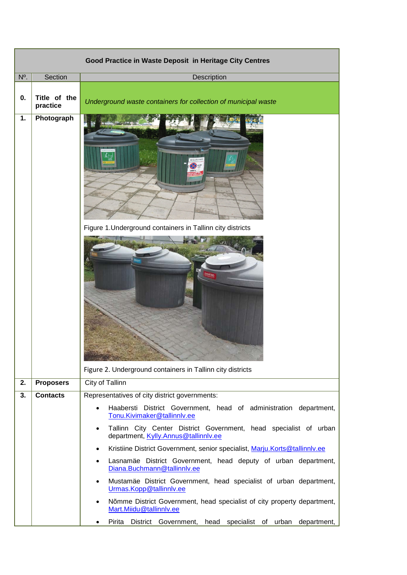| Good Practice in Waste Deposit in Heritage City Centres |                          |                                                                                                                          |  |  |
|---------------------------------------------------------|--------------------------|--------------------------------------------------------------------------------------------------------------------------|--|--|
| N°.                                                     | Section                  | Description                                                                                                              |  |  |
| 0.                                                      | Title of the<br>practice | Underground waste containers for collection of municipal waste                                                           |  |  |
| 1.                                                      | Photograph               | Figure 1. Underground containers in Tallinn city districts<br>Figure 2. Underground containers in Tallinn city districts |  |  |
| 2.                                                      | <b>Proposers</b>         | City of Tallinn                                                                                                          |  |  |
| 3.                                                      | <b>Contacts</b>          | Representatives of city district governments:                                                                            |  |  |
|                                                         |                          | Haabersti District Government, head of administration department,<br>$\bullet$<br>Tonu.Kivimaker@tallinnlv.ee            |  |  |
|                                                         |                          | Tallinn City Center District Government, head specialist of urban<br>$\bullet$<br>department, Kylly.Annus@tallinnlv.ee   |  |  |
|                                                         |                          | Kristiine District Government, senior specialist, Marju.Korts@tallinnlv.ee<br>$\bullet$                                  |  |  |
|                                                         |                          | Lasnamäe District Government, head deputy of urban department,<br>$\bullet$<br>Diana.Buchmann@tallinnlv.ee               |  |  |
|                                                         |                          | Mustamäe District Government, head specialist of urban department,<br>$\bullet$<br>Urmas.Kopp@tallinnlv.ee               |  |  |
|                                                         |                          | Nõmme District Government, head specialist of city property department,<br>$\bullet$<br>Mart.Miidu@tallinnlv.ee          |  |  |
|                                                         |                          | Pirita<br>District Government, head specialist of urban department,<br>$\bullet$                                         |  |  |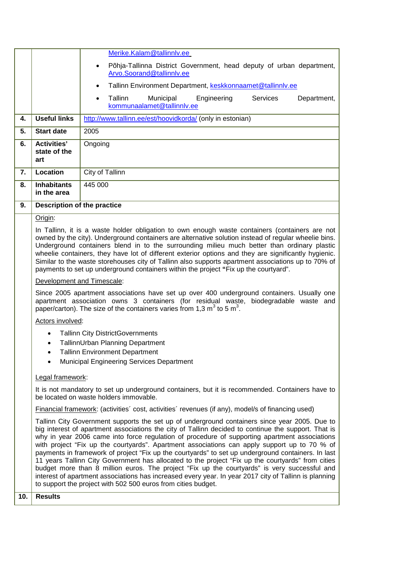|     |                                                                                                                                                                                                                                                                                                                                                                                                                                                                                                                                                                                                             | Merike.Kalam@tallinnlv.ee                                                                                                                                                                                                                                                                                                                                                                                                                                                                                                                                                                                                                                                                                                                                                                                                                                                                  |  |
|-----|-------------------------------------------------------------------------------------------------------------------------------------------------------------------------------------------------------------------------------------------------------------------------------------------------------------------------------------------------------------------------------------------------------------------------------------------------------------------------------------------------------------------------------------------------------------------------------------------------------------|--------------------------------------------------------------------------------------------------------------------------------------------------------------------------------------------------------------------------------------------------------------------------------------------------------------------------------------------------------------------------------------------------------------------------------------------------------------------------------------------------------------------------------------------------------------------------------------------------------------------------------------------------------------------------------------------------------------------------------------------------------------------------------------------------------------------------------------------------------------------------------------------|--|
|     |                                                                                                                                                                                                                                                                                                                                                                                                                                                                                                                                                                                                             | Põhja-Tallinna District Government, head deputy of urban department,<br>$\bullet$<br>Arvo.Soorand@tallinnlv.ee                                                                                                                                                                                                                                                                                                                                                                                                                                                                                                                                                                                                                                                                                                                                                                             |  |
|     |                                                                                                                                                                                                                                                                                                                                                                                                                                                                                                                                                                                                             | Tallinn Environment Department, keskkonnaamet@tallinnlv.ee<br>٠                                                                                                                                                                                                                                                                                                                                                                                                                                                                                                                                                                                                                                                                                                                                                                                                                            |  |
|     |                                                                                                                                                                                                                                                                                                                                                                                                                                                                                                                                                                                                             | Tallinn<br>Municipal<br>Engineering<br><b>Services</b><br>Department,<br>$\bullet$<br>kommunaalamet@tallinnlv.ee                                                                                                                                                                                                                                                                                                                                                                                                                                                                                                                                                                                                                                                                                                                                                                           |  |
| 4.  | <b>Useful links</b>                                                                                                                                                                                                                                                                                                                                                                                                                                                                                                                                                                                         | http://www.tallinn.ee/est/hoovidkorda/ (only in estonian)                                                                                                                                                                                                                                                                                                                                                                                                                                                                                                                                                                                                                                                                                                                                                                                                                                  |  |
| 5.  | <b>Start date</b>                                                                                                                                                                                                                                                                                                                                                                                                                                                                                                                                                                                           | 2005                                                                                                                                                                                                                                                                                                                                                                                                                                                                                                                                                                                                                                                                                                                                                                                                                                                                                       |  |
| 6.  | <b>Activities'</b><br>state of the<br>art                                                                                                                                                                                                                                                                                                                                                                                                                                                                                                                                                                   | Ongoing                                                                                                                                                                                                                                                                                                                                                                                                                                                                                                                                                                                                                                                                                                                                                                                                                                                                                    |  |
| 7.  | Location                                                                                                                                                                                                                                                                                                                                                                                                                                                                                                                                                                                                    | City of Tallinn                                                                                                                                                                                                                                                                                                                                                                                                                                                                                                                                                                                                                                                                                                                                                                                                                                                                            |  |
| 8.  | <b>Inhabitants</b><br>in the area                                                                                                                                                                                                                                                                                                                                                                                                                                                                                                                                                                           | 445 000                                                                                                                                                                                                                                                                                                                                                                                                                                                                                                                                                                                                                                                                                                                                                                                                                                                                                    |  |
| 9.  | Description of the practice                                                                                                                                                                                                                                                                                                                                                                                                                                                                                                                                                                                 |                                                                                                                                                                                                                                                                                                                                                                                                                                                                                                                                                                                                                                                                                                                                                                                                                                                                                            |  |
|     | Origin:                                                                                                                                                                                                                                                                                                                                                                                                                                                                                                                                                                                                     |                                                                                                                                                                                                                                                                                                                                                                                                                                                                                                                                                                                                                                                                                                                                                                                                                                                                                            |  |
|     | In Tallinn, it is a waste holder obligation to own enough waste containers (containers are not<br>owned by the city). Underground containers are alternative solution instead of regular wheelie bins.<br>Underground containers blend in to the surrounding milieu much better than ordinary plastic<br>wheelie containers, they have lot of different exterior options and they are significantly hygienic.<br>Similar to the waste storehouses city of Tallinn also supports apartment associations up to 70% of<br>payments to set up underground containers within the project "Fix up the courtyard". |                                                                                                                                                                                                                                                                                                                                                                                                                                                                                                                                                                                                                                                                                                                                                                                                                                                                                            |  |
|     |                                                                                                                                                                                                                                                                                                                                                                                                                                                                                                                                                                                                             | Development and Timescale:                                                                                                                                                                                                                                                                                                                                                                                                                                                                                                                                                                                                                                                                                                                                                                                                                                                                 |  |
|     | Since 2005 apartment associations have set up over 400 underground containers. Usually one<br>apartment association owns 3 containers (for residual waste, biodegradable waste and<br>paper/carton). The size of the containers varies from 1,3 $m^3$ to 5 $m^3$ .                                                                                                                                                                                                                                                                                                                                          |                                                                                                                                                                                                                                                                                                                                                                                                                                                                                                                                                                                                                                                                                                                                                                                                                                                                                            |  |
|     | Actors involved:                                                                                                                                                                                                                                                                                                                                                                                                                                                                                                                                                                                            |                                                                                                                                                                                                                                                                                                                                                                                                                                                                                                                                                                                                                                                                                                                                                                                                                                                                                            |  |
|     | <b>Tallinn City DistrictGovernments</b><br>$\bullet$                                                                                                                                                                                                                                                                                                                                                                                                                                                                                                                                                        |                                                                                                                                                                                                                                                                                                                                                                                                                                                                                                                                                                                                                                                                                                                                                                                                                                                                                            |  |
|     | $\bullet$                                                                                                                                                                                                                                                                                                                                                                                                                                                                                                                                                                                                   | TallinnUrban Planning Department<br><b>Tallinn Environment Department</b>                                                                                                                                                                                                                                                                                                                                                                                                                                                                                                                                                                                                                                                                                                                                                                                                                  |  |
|     | ٠                                                                                                                                                                                                                                                                                                                                                                                                                                                                                                                                                                                                           | Municipal Engineering Services Department                                                                                                                                                                                                                                                                                                                                                                                                                                                                                                                                                                                                                                                                                                                                                                                                                                                  |  |
|     | Legal framework:                                                                                                                                                                                                                                                                                                                                                                                                                                                                                                                                                                                            |                                                                                                                                                                                                                                                                                                                                                                                                                                                                                                                                                                                                                                                                                                                                                                                                                                                                                            |  |
|     |                                                                                                                                                                                                                                                                                                                                                                                                                                                                                                                                                                                                             | It is not mandatory to set up underground containers, but it is recommended. Containers have to<br>be located on waste holders immovable.                                                                                                                                                                                                                                                                                                                                                                                                                                                                                                                                                                                                                                                                                                                                                  |  |
|     |                                                                                                                                                                                                                                                                                                                                                                                                                                                                                                                                                                                                             | Financial framework: (activities' cost, activities' revenues (if any), model/s of financing used)                                                                                                                                                                                                                                                                                                                                                                                                                                                                                                                                                                                                                                                                                                                                                                                          |  |
|     |                                                                                                                                                                                                                                                                                                                                                                                                                                                                                                                                                                                                             | Tallinn City Government supports the set up of underground containers since year 2005. Due to<br>big interest of apartment associations the city of Tallinn decided to continue the support. That is<br>why in year 2006 came into force regulation of procedure of supporting apartment associations<br>with project "Fix up the courtyards". Apartment associations can apply support up to 70 % of<br>payments in framework of project "Fix up the courtyards" to set up underground containers. In last<br>11 years Tallinn City Government has allocated to the project "Fix up the courtyards" from cities<br>budget more than 8 million euros. The project "Fix up the courtyards" is very successful and<br>interest of apartment associations has increased every year. In year 2017 city of Tallinn is planning<br>to support the project with 502 500 euros from cities budget. |  |
| 10. | <b>Results</b>                                                                                                                                                                                                                                                                                                                                                                                                                                                                                                                                                                                              |                                                                                                                                                                                                                                                                                                                                                                                                                                                                                                                                                                                                                                                                                                                                                                                                                                                                                            |  |